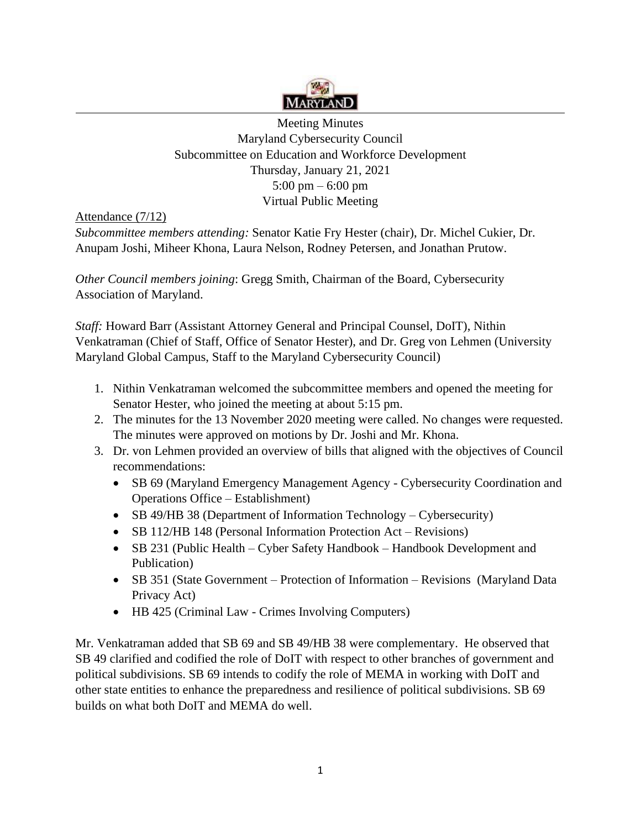

 5:00 pm – 6:00 pm Meeting Minutes Maryland Cybersecurity Council Subcommittee on Education and Workforce Development Thursday, January 21, 2021 Virtual Public Meeting

Attendance (7/12)

 *Subcommittee members attending:* Senator Katie Fry Hester (chair), Dr. Michel Cukier, Dr. Anupam Joshi, Miheer Khona, Laura Nelson, Rodney Petersen, and Jonathan Prutow.

 Association of Maryland. *Other Council members joining*: Gregg Smith, Chairman of the Board, Cybersecurity

*Staff:* Howard Barr (Assistant Attorney General and Principal Counsel, DoIT), Nithin Venkatraman (Chief of Staff, Office of Senator Hester), and Dr. Greg von Lehmen (University Maryland Global Campus, Staff to the Maryland Cybersecurity Council)

- 1. Nithin Venkatraman welcomed the subcommittee members and opened the meeting for Senator Hester, who joined the meeting at about 5:15 pm.
- 2. The minutes for the 13 November 2020 meeting were called. No changes were requested. The minutes were approved on motions by Dr. Joshi and Mr. Khona.
- 3. Dr. von Lehmen provided an overview of bills that aligned with the objectives of Council recommendations:
	- Operations Office Establishment) • SB 69 (Maryland Emergency Management Agency - Cybersecurity Coordination and
	- SB 49/HB 38 (Department of Information Technology Cybersecurity)
	- SB 112/HB 148 (Personal Information Protection Act Revisions)
	- SB 231 (Public Health Cyber Safety Handbook Handbook Development and Publication)
	- SB 351 (State Government Protection of Information Revisions (Maryland Data Privacy Act)
	- HB 425 (Criminal Law Crimes Involving Computers)

Mr. Venkatraman added that SB 69 and SB 49/HB 38 were complementary. He observed that SB 49 clarified and codified the role of DoIT with respect to other branches of government and political subdivisions. SB 69 intends to codify the role of MEMA in working with DoIT and other state entities to enhance the preparedness and resilience of political subdivisions. SB 69 builds on what both DoIT and MEMA do well.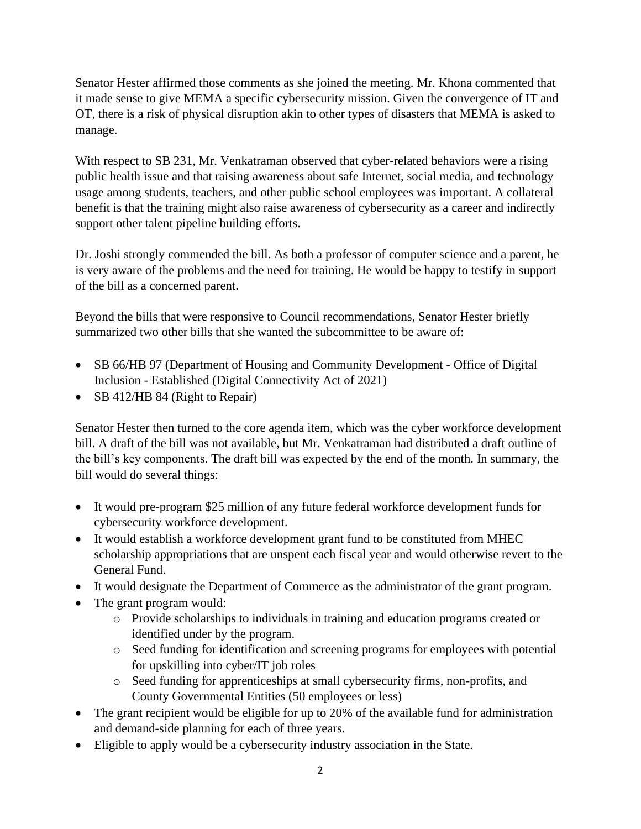Senator Hester affirmed those comments as she joined the meeting. Mr. Khona commented that it made sense to give MEMA a specific cybersecurity mission. Given the convergence of IT and OT, there is a risk of physical disruption akin to other types of disasters that MEMA is asked to manage.

With respect to SB 231, Mr. Venkatraman observed that cyber-related behaviors were a rising public health issue and that raising awareness about safe Internet, social media, and technology usage among students, teachers, and other public school employees was important. A collateral benefit is that the training might also raise awareness of cybersecurity as a career and indirectly support other talent pipeline building efforts.

 Dr. Joshi strongly commended the bill. As both a professor of computer science and a parent, he is very aware of the problems and the need for training. He would be happy to testify in support of the bill as a concerned parent.

 summarized two other bills that she wanted the subcommittee to be aware of: Beyond the bills that were responsive to Council recommendations, Senator Hester briefly

- SB 66/HB 97 (Department of Housing and Community Development Office of Digital Inclusion - Established (Digital Connectivity Act of 2021)
- SB 412/HB 84 (Right to Repair)

Senator Hester then turned to the core agenda item, which was the cyber workforce development bill. A draft of the bill was not available, but Mr. Venkatraman had distributed a draft outline of the bill's key components. The draft bill was expected by the end of the month. In summary, the bill would do several things:

- It would pre-program \$25 million of any future federal workforce development funds for cybersecurity workforce development.
- It would establish a workforce development grant fund to be constituted from MHEC scholarship appropriations that are unspent each fiscal year and would otherwise revert to the General Fund.
- It would designate the Department of Commerce as the administrator of the grant program.
- The grant program would:
	- o Provide scholarships to individuals in training and education programs created or identified under by the program.
	- o Seed funding for identification and screening programs for employees with potential for upskilling into cyber/IT job roles
	- o Seed funding for apprenticeships at small cybersecurity firms, non-profits, and County Governmental Entities (50 employees or less)
- The grant recipient would be eligible for up to 20% of the available fund for administration and demand-side planning for each of three years.
- Eligible to apply would be a cybersecurity industry association in the State.